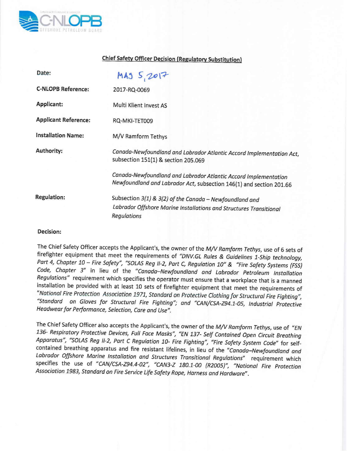

## **Chief Safety Officer Decision (Regulatory Substitution)**

| Date:                       | MA35,2017                                                                                                                                    |
|-----------------------------|----------------------------------------------------------------------------------------------------------------------------------------------|
| <b>C-NLOPB Reference:</b>   | 2017-RQ-0069                                                                                                                                 |
| Applicant:                  | Multi Klient Invest AS                                                                                                                       |
| <b>Applicant Reference:</b> | RQ-MKI-TET009                                                                                                                                |
| <b>Installation Name:</b>   | M/V Ramform Tethys                                                                                                                           |
| Authority:                  | Canada-Newfoundland and Labrador Atlantic Accord Implementation Act,<br>subsection 151(1) & section 205.069                                  |
|                             | Canada-Newfoundland and Labrador Atlantic Accord Implementation<br>Newfoundland and Labrador Act, subsection 146(1) and section 201.66       |
| <b>Regulation:</b>          | Subsection 3(1) & 3(2) of the Canada - Newfoundland and<br>Labrador Offshore Marine Installations and Structures Transitional<br>Regulations |

## **Decision:**

The Chief Safety Officer accepts the Applicant's, the owner of the *M/V Ramform Tethys,* use of 6 sets of firefighter equipment that meet the requirements of *"DNV.GL Rules* & *Guidelines l-Ship technology, Part* 4, *Chapter* 10 - *Fire Safety", "SaLAS Reg 1/-2, Part* C, *Regulation 10"* & *"Fire Safety Systems (FSS) Code, Chapter* 3" in lieu of the *"Canada-Newfoundland and Labrador Petroleum Installation Regulations"* requirement which specifies the operator must ensure that a workplace that is a manned installation be provided with at least 10 sets of firefighter equipment that meet the requirements of *"National Fire Protection Association* 1971, *Standard on Protective Clothing for Structural Fire Fighting", "Standard on Gloves for Structural Fire Fighting"; and "CAN/CSA-Z94.1-0S, Industrial Protective Headwear for Performance, Selection, Care and Use".*

The Chief Safety Officer also accepts the Applicant's, the owner of the *M/V Ramform Tethys,* use of *"EN 136- Respiratory Protective Devices, Full Face Masks", liEN* 137- *Self Contoined Open Circuit Breathing Apparatus", "SaLAS Reg 1/-2, Part* C *Regulation 10- Fire Fighting", "Fire Safety System Code"* for selfcontained breathing apparatus and fire resistant lifelines, in lieu of the *"Canada-Newfoundland and Labrador Offshore Marine Installation and Structures Transitional Regulations"* requirement which specifies the use of "CAN/CSA-Z94.4-02", "CAN3-Z 180.1-00 (R2005)", "National Fire Protection *Association* 1983, *Standard on Fire Service Life Safety Rope, Harness and Hardware".*